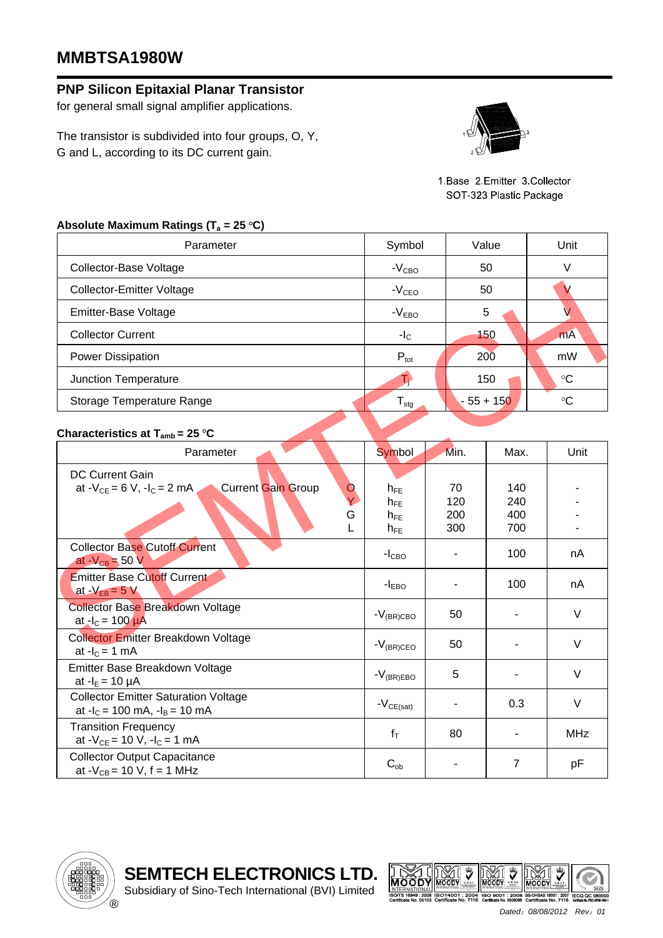## **MMBTSA1980W**

## **PNP Silicon Epitaxial Planar Transistor**

for general small signal amplifier applications.

The transistor is subdivided into four groups, O, Y, G and L, according to its DC current gain.



1.Base 2.Emitter 3.Collector SOT-323 Plastic Package

## Absolute Maximum Ratings (T<sub>a</sub> = 25 °C)

| Parameter                        | Symbol           | Value       | Unit            |  |
|----------------------------------|------------------|-------------|-----------------|--|
| Collector-Base Voltage           | $-V_{\rm CBO}$   | 50          | V               |  |
| <b>Collector-Emitter Voltage</b> | $-VCEO$          | 50          |                 |  |
| Emitter-Base Voltage             | $-VEBO$          | 5           |                 |  |
| <b>Collector Current</b>         | $-IC$            | 150         | <b>mA</b>       |  |
| Power Dissipation                | $P_{\text{tot}}$ | 200         | mW              |  |
| Junction Temperature             |                  | 150         | $\rm ^{\circ}C$ |  |
| Storage Temperature Range        | $I_{\text{stg}}$ | $-55 + 150$ | °C              |  |

## **Characteristics at T<sub>amb</sub> = 25 °C**

| <b>Collector-Emitter Voltage</b>                                                                              | $-VCEO$                                      |                         | 50                       | V               |
|---------------------------------------------------------------------------------------------------------------|----------------------------------------------|-------------------------|--------------------------|-----------------|
| Emitter-Base Voltage                                                                                          | $-VEBO$                                      |                         | 5                        | V               |
| <b>Collector Current</b>                                                                                      | $-IC$                                        |                         | 150                      | mA              |
| <b>Power Dissipation</b>                                                                                      | $P_{\text{tot}}$                             |                         | 200                      | mW              |
| Junction Temperature                                                                                          | T)                                           |                         | 150                      | $\rm ^{\circ}C$ |
| Storage Temperature Range                                                                                     | $\mathsf{T}_{\text{stg}}$                    |                         | $-55 + 150$              | $\circ$ C       |
| Characteristics at $T_{amb}$ = 25 °C                                                                          |                                              |                         |                          |                 |
| Parameter                                                                                                     | Symbol                                       | Min.                    | Max.                     | Unit            |
| DC Current Gain<br><b>Current Gain Group</b><br>at $-V_{CE} = 6 V$ , $-I_C = 2 mA$<br>$\circ$<br>Ÿ.<br>G<br>L | $h_{FE}$<br>$h_{FE}$<br>$h_{FE}$<br>$h_{FE}$ | 70<br>120<br>200<br>300 | 140<br>240<br>400<br>700 |                 |
| <b>Collector Base Cutoff Current</b><br>at $-V_{CB} = 50 V$                                                   | $-ICBO$                                      |                         | 100                      | nA              |
| <b>Emitter Base Cutoff Current</b><br>at $-V_{EB} = 5 V$                                                      | $-IEBO$                                      |                         | 100                      | nA              |
| <b>Collector Base Breakdown Voltage</b><br>at $-I_c = 100 \mu A$                                              | $-V_{(BR)CBO}$                               | 50                      |                          | $\vee$          |
| <b>Collector Emitter Breakdown Voltage</b><br>at $-IC = 1$ mA                                                 | $-V_{(BR)CEO}$                               | 50                      |                          | V               |
| Emitter Base Breakdown Voltage<br>at $-I_E = 10 \mu A$                                                        | $-V_{(BR)EBO}$                               | 5                       |                          | $\vee$          |
| <b>Collector Emitter Saturation Voltage</b><br>at $-I_c = 100$ mA, $-I_B = 10$ mA                             | $-V_{CE(sat)}$                               |                         | 0.3                      | $\vee$          |
| <b>Transition Frequency</b><br>at $-V_{CE} = 10 V$ , $-I_C = 1 mA$                                            | $f_T$                                        | 80                      |                          | <b>MHz</b>      |
| <b>Collector Output Capacitance</b><br>at $-V_{CB} = 10 V$ , f = 1 MHz                                        | $C_{ob}$                                     |                         | $\overline{7}$           | pF              |

Subsidiary of Sino-Tech International (BVI) Limited





*Dated*:*08/08/2012 Rev*:*01*